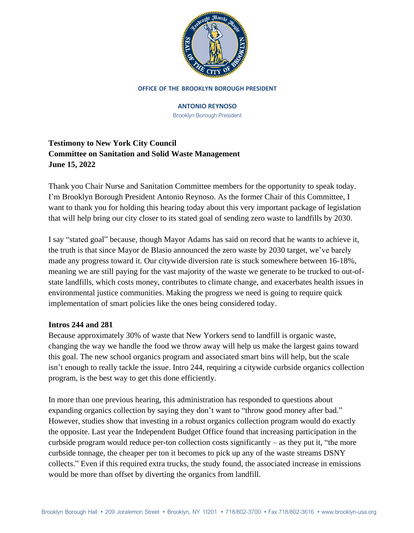

#### **OFFICE OF THE BROOKLYN BOROUGH PRESIDENT**

#### **ANTONIO REYNOSO**

Brooklyn Borough President

# **Testimony to New York City Council Committee on Sanitation and Solid Waste Management June 15, 2022**

Thank you Chair Nurse and Sanitation Committee members for the opportunity to speak today. I'm Brooklyn Borough President Antonio Reynoso. As the former Chair of this Committee, I want to thank you for holding this hearing today about this very important package of legislation that will help bring our city closer to its stated goal of sending zero waste to landfills by 2030.

I say "stated goal" because, though Mayor Adams has said on record that he wants to achieve it, the truth is that since Mayor de Blasio announced the zero waste by 2030 target, we've barely made any progress toward it. Our citywide diversion rate is stuck somewhere between 16-18%, meaning we are still paying for the vast majority of the waste we generate to be trucked to out-ofstate landfills, which costs money, contributes to climate change, and exacerbates health issues in environmental justice communities. Making the progress we need is going to require quick implementation of smart policies like the ones being considered today.

## **Intros 244 and 281**

Because approximately 30% of waste that New Yorkers send to landfill is organic waste, changing the way we handle the food we throw away will help us make the largest gains toward this goal. The new school organics program and associated smart bins will help, but the scale isn't enough to really tackle the issue. Intro 244, requiring a citywide curbside organics collection program, is the best way to get this done efficiently.

In more than one previous hearing, this administration has responded to questions about expanding organics collection by saying they don't want to "throw good money after bad." However, studies show that investing in a robust organics collection program would do exactly the opposite. Last year the Independent Budget Office found that increasing participation in the curbside program would reduce per-ton collection costs significantly – as they put it, "the more curbside tonnage, the cheaper per ton it becomes to pick up any of the waste streams DSNY collects." Even if this required extra trucks, the study found, the associated increase in emissions would be more than offset by diverting the organics from landfill.